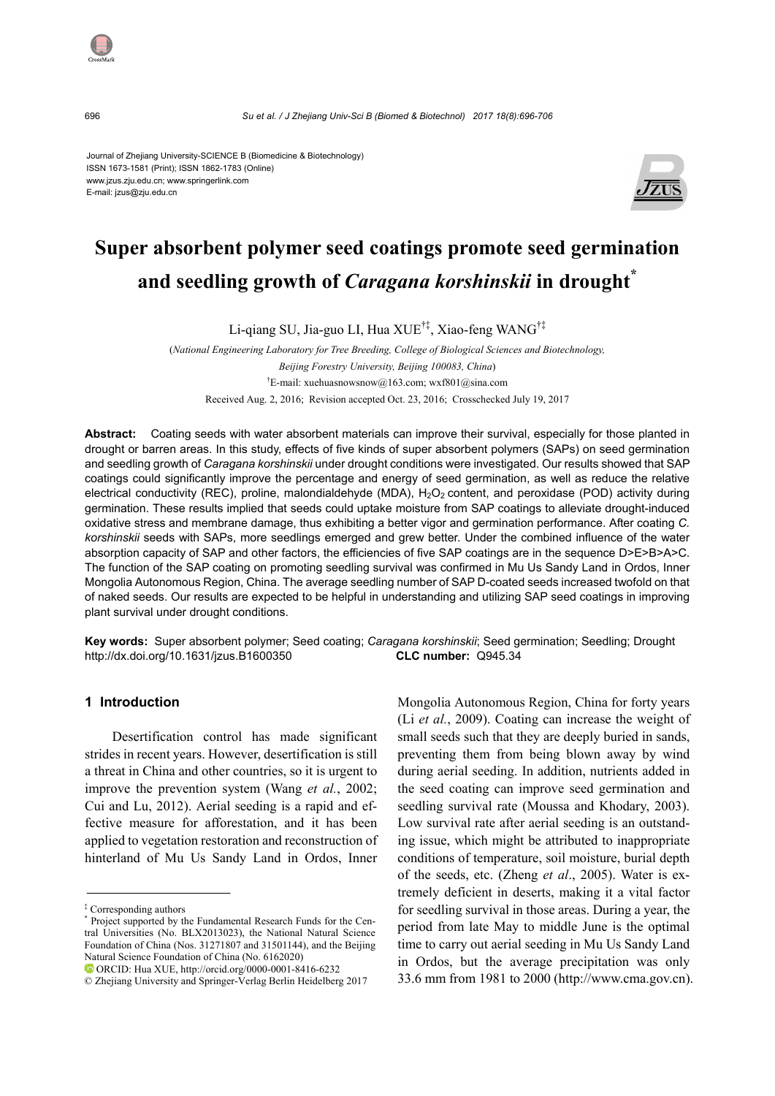Journal of Zhejiang University-SCIENCE B (Biomedicine & Biotechnology) ISSN 1673-1581 (Print); ISSN 1862-1783 (Online) www.jzus.zju.edu.cn; www.springerlink.com E-mail: jzus@zju.edu.cn



# **Super absorbent polymer seed coatings promote seed germination**  and seedling growth of *Caragana korshinskii* in drought\*

Li-qiang SU, Jia-guo LI, Hua XUE†‡, Xiao-feng WANG†‡

(*National Engineering Laboratory for Tree Breeding, College of Biological Sciences and Biotechnology, Beijing Forestry University, Beijing 100083, China*) † E-mail: xuehuasnowsnow@163.com; wxf801@sina.com Received Aug. 2, 2016; Revision accepted Oct. 23, 2016; Crosschecked July 19, 2017

**Abstract:** Coating seeds with water absorbent materials can improve their survival, especially for those planted in drought or barren areas. In this study, effects of five kinds of super absorbent polymers (SAPs) on seed germination and seedling growth of *Caragana korshinskii* under drought conditions were investigated. Our results showed that SAP coatings could significantly improve the percentage and energy of seed germination, as well as reduce the relative electrical conductivity (REC), proline, malondialdehyde (MDA), H<sub>2</sub>O<sub>2</sub> content, and peroxidase (POD) activity during germination. These results implied that seeds could uptake moisture from SAP coatings to alleviate drought-induced oxidative stress and membrane damage, thus exhibiting a better vigor and germination performance. After coating *C. korshinskii* seeds with SAPs, more seedlings emerged and grew better. Under the combined influence of the water absorption capacity of SAP and other factors, the efficiencies of five SAP coatings are in the sequence D>E>B>A>C. The function of the SAP coating on promoting seedling survival was confirmed in Mu Us Sandy Land in Ordos, Inner Mongolia Autonomous Region, China. The average seedling number of SAP D-coated seeds increased twofold on that of naked seeds. Our results are expected to be helpful in understanding and utilizing SAP seed coatings in improving plant survival under drought conditions.

**Key words:** Super absorbent polymer; Seed coating; *Caragana korshinskii*; Seed germination; Seedling; Drought http://dx.doi.org/10.1631/jzus.B1600350 **CLC number:** Q945.34

### **1 Introduction**

Desertification control has made significant strides in recent years. However, desertification is still a threat in China and other countries, so it is urgent to improve the prevention system (Wang *et al.*, 2002; Cui and Lu, 2012). Aerial seeding is a rapid and effective measure for afforestation, and it has been applied to vegetation restoration and reconstruction of hinterland of Mu Us Sandy Land in Ordos, Inner Mongolia Autonomous Region, China for forty years (Li *et al.*, 2009). Coating can increase the weight of small seeds such that they are deeply buried in sands, preventing them from being blown away by wind during aerial seeding. In addition, nutrients added in the seed coating can improve seed germination and seedling survival rate (Moussa and Khodary, 2003). Low survival rate after aerial seeding is an outstanding issue, which might be attributed to inappropriate conditions of temperature, soil moisture, burial depth of the seeds, etc. (Zheng *et al*., 2005). Water is extremely deficient in deserts, making it a vital factor for seedling survival in those areas. During a year, the period from late May to middle June is the optimal time to carry out aerial seeding in Mu Us Sandy Land in Ordos, but the average precipitation was only 33.6 mm from 1981 to 2000 (http://www.cma.gov.cn).

<sup>‡</sup> Corresponding authors

<sup>\*</sup> Project supported by the Fundamental Research Funds for the Central Universities (No. BLX2013023), the National Natural Science Foundation of China (Nos. 31271807 and 31501144), and the Beijing Natural Science Foundation of China (No. 6162020)

ORCID: Hua XUE, http://orcid.org/0000-0001-8416-6232

<sup>©</sup> Zhejiang University and Springer-Verlag Berlin Heidelberg 2017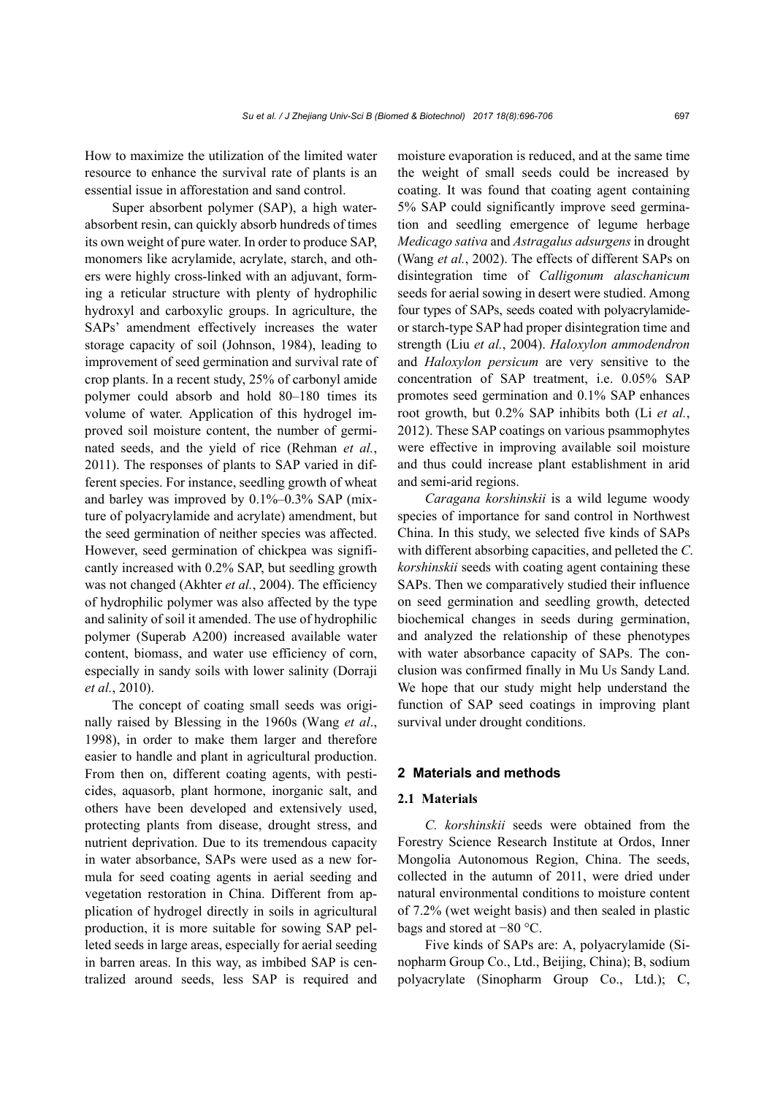How to maximize the utilization of the limited water resource to enhance the survival rate of plants is an essential issue in afforestation and sand control.

Super absorbent polymer (SAP), a high waterabsorbent resin, can quickly absorb hundreds of times its own weight of pure water. In order to produce SAP, monomers like acrylamide, acrylate, starch, and others were highly cross-linked with an adjuvant, forming a reticular structure with plenty of hydrophilic hydroxyl and carboxylic groups. In agriculture, the SAPs' amendment effectively increases the water storage capacity of soil (Johnson, 1984), leading to improvement of seed germination and survival rate of crop plants. In a recent study, 25% of carbonyl amide polymer could absorb and hold 80–180 times its volume of water. Application of this hydrogel improved soil moisture content, the number of germinated seeds, and the yield of rice (Rehman *et al.*, 2011). The responses of plants to SAP varied in different species. For instance, seedling growth of wheat and barley was improved by 0.1%–0.3% SAP (mixture of polyacrylamide and acrylate) amendment, but the seed germination of neither species was affected. However, seed germination of chickpea was significantly increased with 0.2% SAP, but seedling growth was not changed (Akhter *et al.*, 2004). The efficiency of hydrophilic polymer was also affected by the type and salinity of soil it amended. The use of hydrophilic polymer (Superab A200) increased available water content, biomass, and water use efficiency of corn, especially in sandy soils with lower salinity (Dorraji *et al.*, 2010).

The concept of coating small seeds was originally raised by Blessing in the 1960s (Wang *et al*., 1998), in order to make them larger and therefore easier to handle and plant in agricultural production. From then on, different coating agents, with pesticides, aquasorb, plant hormone, inorganic salt, and others have been developed and extensively used, protecting plants from disease, drought stress, and nutrient deprivation. Due to its tremendous capacity in water absorbance, SAPs were used as a new formula for seed coating agents in aerial seeding and vegetation restoration in China. Different from application of hydrogel directly in soils in agricultural production, it is more suitable for sowing SAP pelleted seeds in large areas, especially for aerial seeding in barren areas. In this way, as imbibed SAP is centralized around seeds, less SAP is required and moisture evaporation is reduced, and at the same time the weight of small seeds could be increased by coating. It was found that coating agent containing 5% SAP could significantly improve seed germination and seedling emergence of legume herbage *Medicago sativa* and *Astragalus adsurgens* in drought (Wang *et al.*, 2002). The effects of different SAPs on disintegration time of *Calligonum alaschanicum* seeds for aerial sowing in desert were studied. Among four types of SAPs, seeds coated with polyacrylamideor starch-type SAP had proper disintegration time and strength (Liu *et al.*, 2004). *Haloxylon ammodendron* and *Haloxylon persicum* are very sensitive to the concentration of SAP treatment, i.e. 0.05% SAP promotes seed germination and 0.1% SAP enhances root growth, but 0.2% SAP inhibits both (Li *et al.*, 2012). These SAP coatings on various psammophytes were effective in improving available soil moisture and thus could increase plant establishment in arid and semi-arid regions.

*Caragana korshinskii* is a wild legume woody species of importance for sand control in Northwest China. In this study, we selected five kinds of SAPs with different absorbing capacities, and pelleted the *C*. *korshinskii* seeds with coating agent containing these SAPs. Then we comparatively studied their influence on seed germination and seedling growth, detected biochemical changes in seeds during germination, and analyzed the relationship of these phenotypes with water absorbance capacity of SAPs. The conclusion was confirmed finally in Mu Us Sandy Land. We hope that our study might help understand the function of SAP seed coatings in improving plant survival under drought conditions.

#### **2 Materials and methods**

#### **2.1 Materials**

*C. korshinskii* seeds were obtained from the Forestry Science Research Institute at Ordos, Inner Mongolia Autonomous Region, China. The seeds, collected in the autumn of 2011, were dried under natural environmental conditions to moisture content of 7.2% (wet weight basis) and then sealed in plastic bags and stored at −80 °C.

Five kinds of SAPs are: A, polyacrylamide (Sinopharm Group Co., Ltd., Beijing, China); B, sodium polyacrylate (Sinopharm Group Co., Ltd.); C,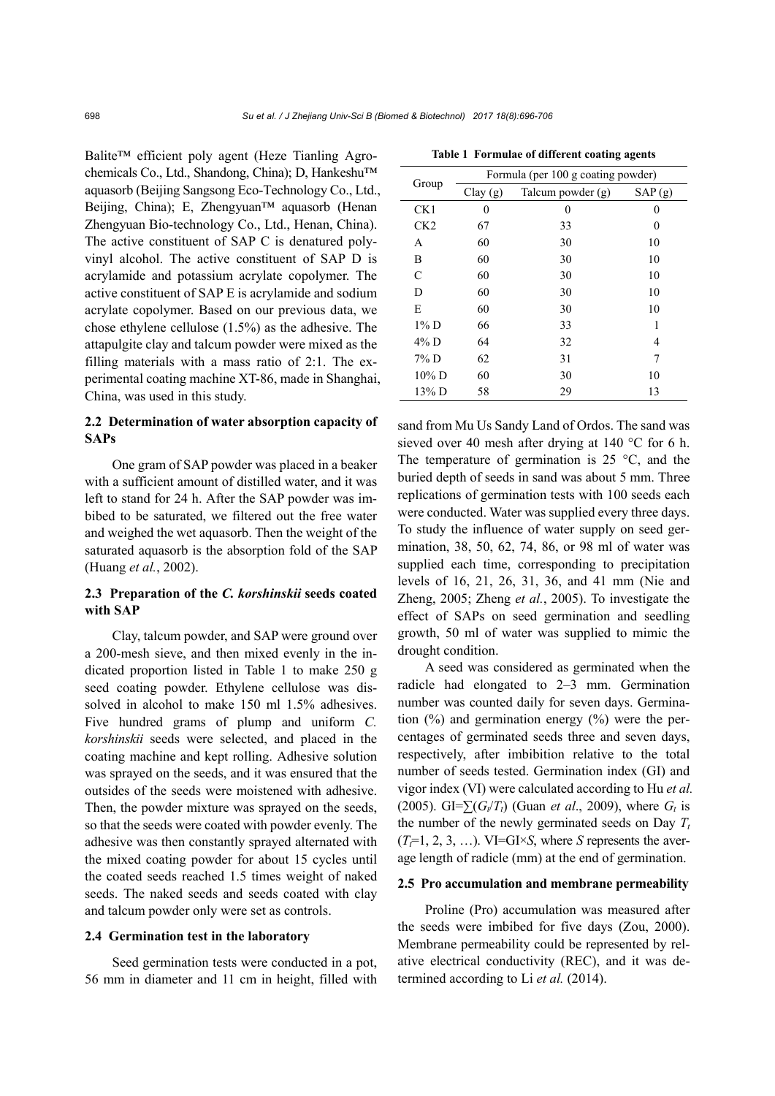Balite™ efficient poly agent (Heze Tianling Agrochemicals Co., Ltd., Shandong, China); D, Hankeshu™ aquasorb (Beijing Sangsong Eco-Technology Co., Ltd., Beijing, China); E, Zhengyuan™ aquasorb (Henan Zhengyuan Bio-technology Co., Ltd., Henan, China). The active constituent of SAP C is denatured polyvinyl alcohol. The active constituent of SAP D is acrylamide and potassium acrylate copolymer. The active constituent of SAP E is acrylamide and sodium acrylate copolymer. Based on our previous data, we chose ethylene cellulose (1.5%) as the adhesive. The attapulgite clay and talcum powder were mixed as the filling materials with a mass ratio of 2:1. The experimental coating machine XT-86, made in Shanghai, China, was used in this study.

# **2.2 Determination of water absorption capacity of SAPs**

One gram of SAP powder was placed in a beaker with a sufficient amount of distilled water, and it was left to stand for 24 h. After the SAP powder was imbibed to be saturated, we filtered out the free water and weighed the wet aquasorb. Then the weight of the saturated aquasorb is the absorption fold of the SAP (Huang *et al.*, 2002).

# **2.3 Preparation of the** *C. korshinskii* **seeds coated with SAP**

Clay, talcum powder, and SAP were ground over a 200-mesh sieve, and then mixed evenly in the indicated proportion listed in Table 1 to make 250 g seed coating powder. Ethylene cellulose was dissolved in alcohol to make 150 ml 1.5% adhesives. Five hundred grams of plump and uniform *C. korshinskii* seeds were selected, and placed in the coating machine and kept rolling. Adhesive solution was sprayed on the seeds, and it was ensured that the outsides of the seeds were moistened with adhesive. Then, the powder mixture was sprayed on the seeds, so that the seeds were coated with powder evenly. The adhesive was then constantly sprayed alternated with the mixed coating powder for about 15 cycles until the coated seeds reached 1.5 times weight of naked seeds. The naked seeds and seeds coated with clay and talcum powder only were set as controls.

#### **2.4 Germination test in the laboratory**

Seed germination tests were conducted in a pot, 56 mm in diameter and 11 cm in height, filled with

| Group           | Formula (per 100 g coating powder) |                   |        |  |
|-----------------|------------------------------------|-------------------|--------|--|
|                 | Clay(g)                            | Talcum powder (g) | SAP(g) |  |
| CK1             | 0                                  | 0                 | 0      |  |
| CK <sub>2</sub> | 67                                 | 33                | 0      |  |
| A               | 60                                 | 30                | 10     |  |
| B               | 60                                 | 30                | 10     |  |
| C               | 60                                 | 30                | 10     |  |
| D               | 60                                 | 30                | 10     |  |
| E               | 60                                 | 30                | 10     |  |
| $1\%$ D         | 66                                 | 33                | 1      |  |
| $4\%$ D         | 64                                 | 32                | 4      |  |
| $7\%$ D         | 62                                 | 31                | 7      |  |
| $10\%$ D        | 60                                 | 30                | 10     |  |
| $13\%$ D        | 58                                 | 29                | 13     |  |

sand from Mu Us Sandy Land of Ordos. The sand was sieved over 40 mesh after drying at 140 °C for 6 h. The temperature of germination is  $25 \text{ °C}$ , and the buried depth of seeds in sand was about 5 mm. Three replications of germination tests with 100 seeds each were conducted. Water was supplied every three days. To study the influence of water supply on seed germination, 38, 50, 62, 74, 86, or 98 ml of water was supplied each time, corresponding to precipitation levels of 16, 21, 26, 31, 36, and 41 mm (Nie and Zheng, 2005; Zheng *et al.*, 2005). To investigate the effect of SAPs on seed germination and seedling growth, 50 ml of water was supplied to mimic the drought condition.

A seed was considered as germinated when the radicle had elongated to 2–3 mm. Germination number was counted daily for seven days. Germination  $(\%)$  and germination energy  $(\%)$  were the percentages of germinated seeds three and seven days, respectively, after imbibition relative to the total number of seeds tested. Germination index (GI) and vigor index (VI) were calculated according to Hu *et al.* (2005). GI= $\sum (G/T_t)$  (Guan *et al.*, 2009), where  $G_t$  is the number of the newly germinated seeds on Day  $T_t$  $(T_f=1, 2, 3, \ldots)$ . VI=GI×*S*, where *S* represents the average length of radicle (mm) at the end of germination.

#### **2.5 Pro accumulation and membrane permeability**

Proline (Pro) accumulation was measured after the seeds were imbibed for five days (Zou, 2000). Membrane permeability could be represented by relative electrical conductivity (REC), and it was determined according to Li *et al.* (2014).

**Table 1 Formulae of different coating agents**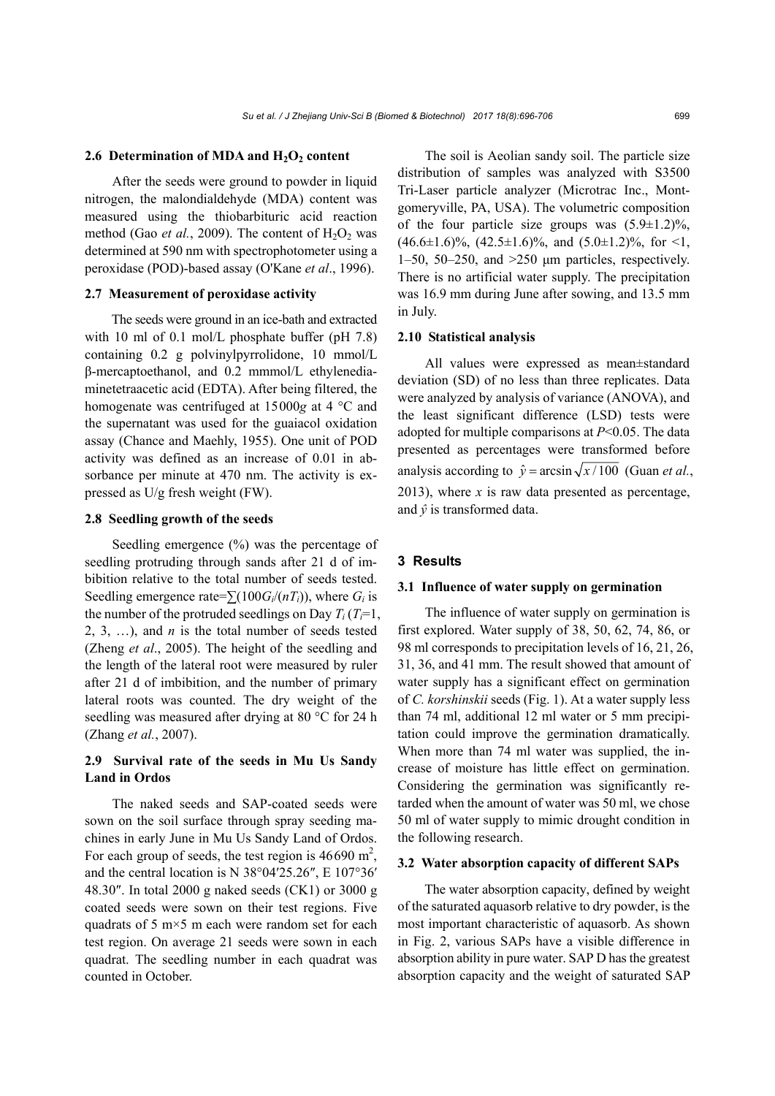#### 2.6 Determination of MDA and H<sub>2</sub>O<sub>2</sub> content

After the seeds were ground to powder in liquid nitrogen, the malondialdehyde (MDA) content was measured using the thiobarbituric acid reaction method (Gao *et al.*, 2009). The content of  $H_2O_2$  was determined at 590 nm with spectrophotometer using a peroxidase (POD)-based assay (O'Kane *et al*., 1996).

#### **2.7 Measurement of peroxidase activity**

The seeds were ground in an ice-bath and extracted with 10 ml of 0.1 mol/L phosphate buffer (pH 7.8) containing 0.2 g polvinylpyrrolidone, 10 mmol/L β-mercaptoethanol, and 0.2 mmmol/L ethylenediaminetetraacetic acid (EDTA). After being filtered, the homogenate was centrifuged at 15000*g* at 4 °C and the supernatant was used for the guaiacol oxidation assay (Chance and Maehly, 1955). One unit of POD activity was defined as an increase of 0.01 in absorbance per minute at 470 nm. The activity is expressed as U/g fresh weight (FW).

#### **2.8 Seedling growth of the seeds**

Seedling emergence (%) was the percentage of seedling protruding through sands after 21 d of imbibition relative to the total number of seeds tested. Seedling emergence rate= $\sum (100G_i/(nT_i))$ , where  $G_i$  is the number of the protruded seedlings on Day  $T_i(T_i=1)$ , 2, 3, …), and *n* is the total number of seeds tested (Zheng *et al*., 2005). The height of the seedling and the length of the lateral root were measured by ruler after 21 d of imbibition, and the number of primary lateral roots was counted. The dry weight of the seedling was measured after drying at 80 °C for 24 h (Zhang *et al.*, 2007).

# **2.9 Survival rate of the seeds in Mu Us Sandy Land in Ordos**

The naked seeds and SAP-coated seeds were sown on the soil surface through spray seeding machines in early June in Mu Us Sandy Land of Ordos. For each group of seeds, the test region is  $46690 \text{ m}^2$ , and the central location is N 38°04′25.26″, E 107°36′ 48.30″. In total 2000 g naked seeds (CK1) or 3000 g coated seeds were sown on their test regions. Five quadrats of 5 m×5 m each were random set for each test region. On average 21 seeds were sown in each quadrat. The seedling number in each quadrat was counted in October.

The soil is Aeolian sandy soil. The particle size distribution of samples was analyzed with S3500 Tri-Laser particle analyzer (Microtrac Inc., Montgomeryville, PA, USA). The volumetric composition of the four particle size groups was  $(5.9 \pm 1.2)\%$ ,  $(46.6\pm1.6)\%$ ,  $(42.5\pm1.6)\%$ , and  $(5.0\pm1.2)\%$ , for <1, 1–50, 50–250, and  $>250$  µm particles, respectively. There is no artificial water supply. The precipitation was 16.9 mm during June after sowing, and 13.5 mm in July.

#### **2.10 Statistical analysis**

All values were expressed as mean±standard deviation (SD) of no less than three replicates. Data were analyzed by analysis of variance (ANOVA), and the least significant difference (LSD) tests were adopted for multiple comparisons at *P*<0.05. The data presented as percentages were transformed before analysis according to  $\hat{v} = \arcsin(\sqrt{x/100})$  (Guan *et al.*, 2013), where *x* is raw data presented as percentage, and *ŷ* is transformed data.

# **3 Results**

#### **3.1 Influence of water supply on germination**

The influence of water supply on germination is first explored. Water supply of 38, 50, 62, 74, 86, or 98 ml corresponds to precipitation levels of 16, 21, 26, 31, 36, and 41 mm. The result showed that amount of water supply has a significant effect on germination of *C. korshinskii* seeds (Fig. 1). At a water supply less than 74 ml, additional 12 ml water or 5 mm precipitation could improve the germination dramatically. When more than 74 ml water was supplied, the increase of moisture has little effect on germination. Considering the germination was significantly retarded when the amount of water was 50 ml, we chose 50 ml of water supply to mimic drought condition in the following research.

## **3.2 Water absorption capacity of different SAPs**

The water absorption capacity, defined by weight of the saturated aquasorb relative to dry powder, is the most important characteristic of aquasorb. As shown in Fig. 2, various SAPs have a visible difference in absorption ability in pure water. SAP D has the greatest absorption capacity and the weight of saturated SAP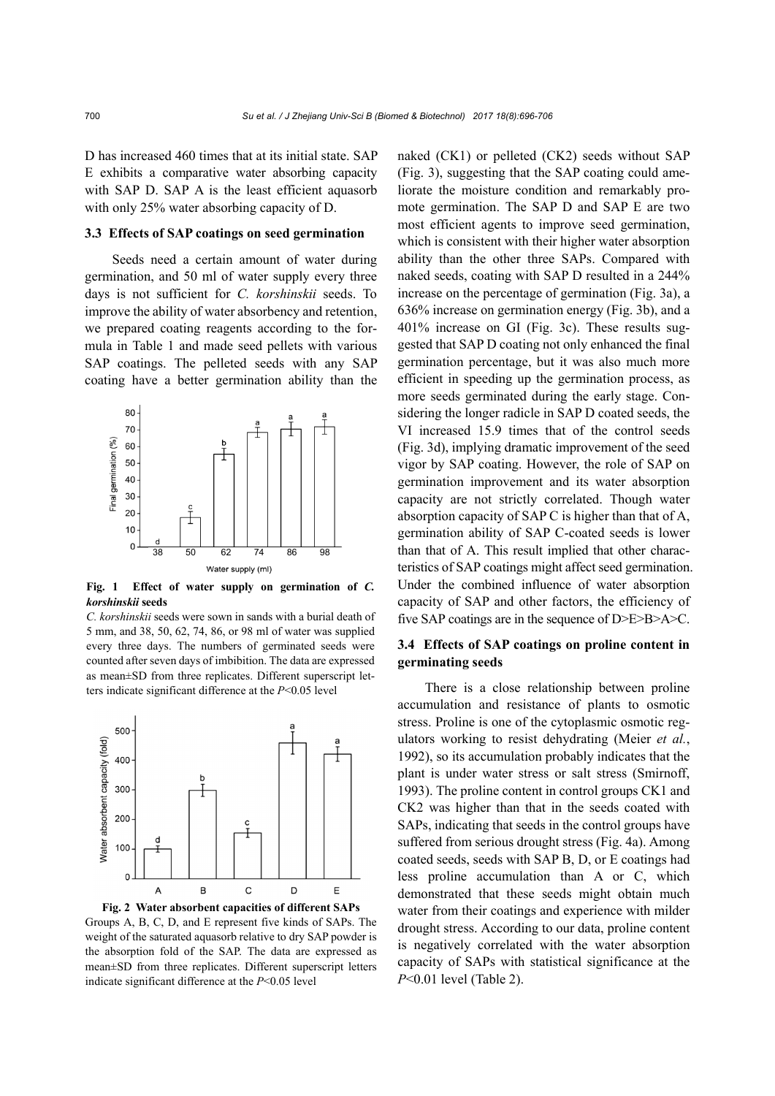D has increased 460 times that at its initial state. SAP E exhibits a comparative water absorbing capacity with SAP D. SAP A is the least efficient aquasorb with only 25% water absorbing capacity of D.

# **3.3 Effects of SAP coatings on seed germination**

Seeds need a certain amount of water during germination, and 50 ml of water supply every three days is not sufficient for *C. korshinskii* seeds. To improve the ability of water absorbency and retention, we prepared coating reagents according to the formula in Table 1 and made seed pellets with various SAP coatings. The pelleted seeds with any SAP coating have a better germination ability than the



**Fig. 1 Effect of water supply on germination of** *C. korshinskii* **seeds** 

*C. korshinskii* seeds were sown in sands with a burial death of 5 mm, and 38, 50, 62, 74, 86, or 98 ml of water was supplied every three days. The numbers of germinated seeds were counted after seven days of imbibition. The data are expressed as mean±SD from three replicates. Different superscript letters indicate significant difference at the *P*<0.05 level



**Fig. 2 Water absorbent capacities of different SAPs**  Groups A, B, C, D, and E represent five kinds of SAPs. The weight of the saturated aquasorb relative to dry SAP powder is the absorption fold of the SAP. The data are expressed as mean±SD from three replicates. Different superscript letters indicate significant difference at the *P*<0.05 level

naked (CK1) or pelleted (CK2) seeds without SAP (Fig. 3), suggesting that the SAP coating could ameliorate the moisture condition and remarkably promote germination. The SAP D and SAP E are two most efficient agents to improve seed germination, which is consistent with their higher water absorption ability than the other three SAPs. Compared with naked seeds, coating with SAP D resulted in a 244% increase on the percentage of germination (Fig. 3a), a 636% increase on germination energy (Fig. 3b), and a 401% increase on GI (Fig. 3c). These results suggested that SAP D coating not only enhanced the final germination percentage, but it was also much more efficient in speeding up the germination process, as more seeds germinated during the early stage. Considering the longer radicle in SAP D coated seeds, the VI increased 15.9 times that of the control seeds (Fig. 3d), implying dramatic improvement of the seed vigor by SAP coating. However, the role of SAP on germination improvement and its water absorption capacity are not strictly correlated. Though water absorption capacity of SAP C is higher than that of A, germination ability of SAP C-coated seeds is lower than that of A. This result implied that other characteristics of SAP coatings might affect seed germination. Under the combined influence of water absorption capacity of SAP and other factors, the efficiency of five SAP coatings are in the sequence of D>E>B>A>C.

# **3.4 Effects of SAP coatings on proline content in germinating seeds**

There is a close relationship between proline accumulation and resistance of plants to osmotic stress. Proline is one of the cytoplasmic osmotic regulators working to resist dehydrating (Meier *et al.*, 1992), so its accumulation probably indicates that the plant is under water stress or salt stress (Smirnoff, 1993). The proline content in control groups CK1 and CK2 was higher than that in the seeds coated with SAPs, indicating that seeds in the control groups have suffered from serious drought stress (Fig. 4a). Among coated seeds, seeds with SAP B, D, or E coatings had less proline accumulation than A or C, which demonstrated that these seeds might obtain much water from their coatings and experience with milder drought stress. According to our data, proline content is negatively correlated with the water absorption capacity of SAPs with statistical significance at the *P*<0.01 level (Table 2).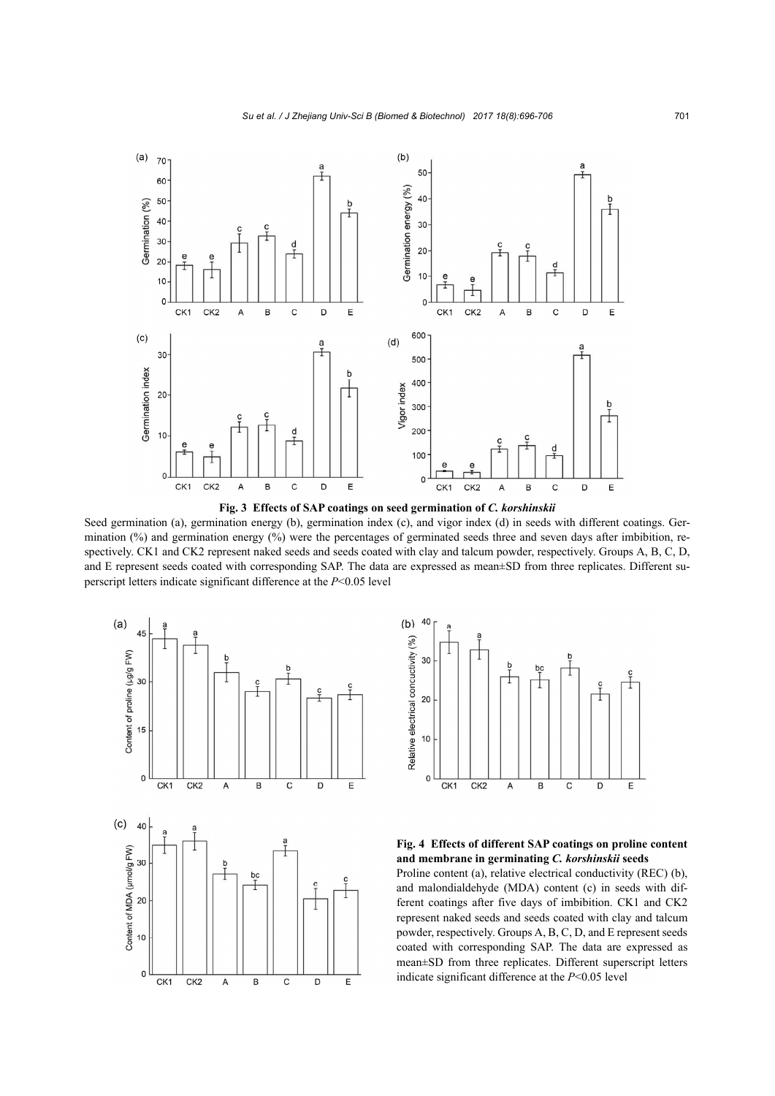

**Fig. 3 Effects of SAP coatings on seed germination of** *C. korshinskii*

Seed germination (a), germination energy (b), germination index (c), and vigor index (d) in seeds with different coatings. Germination (%) and germination energy (%) were the percentages of germinated seeds three and seven days after imbibition, respectively. CK1 and CK2 represent naked seeds and seeds coated with clay and talcum powder, respectively. Groups A, B, C, D, and E represent seeds coated with corresponding SAP. The data are expressed as mean±SD from three replicates. Different superscript letters indicate significant difference at the *P*<0.05 level





#### **Fig. 4 Effects of different SAP coatings on proline content and membrane in germinating** *C. korshinskii* **seeds**

Proline content (a), relative electrical conductivity (REC) (b), and malondialdehyde (MDA) content (c) in seeds with different coatings after five days of imbibition. CK1 and CK2 represent naked seeds and seeds coated with clay and talcum powder, respectively. Groups A, B, C, D, and E represent seeds coated with corresponding SAP. The data are expressed as mean±SD from three replicates. Different superscript letters indicate significant difference at the *P*<0.05 level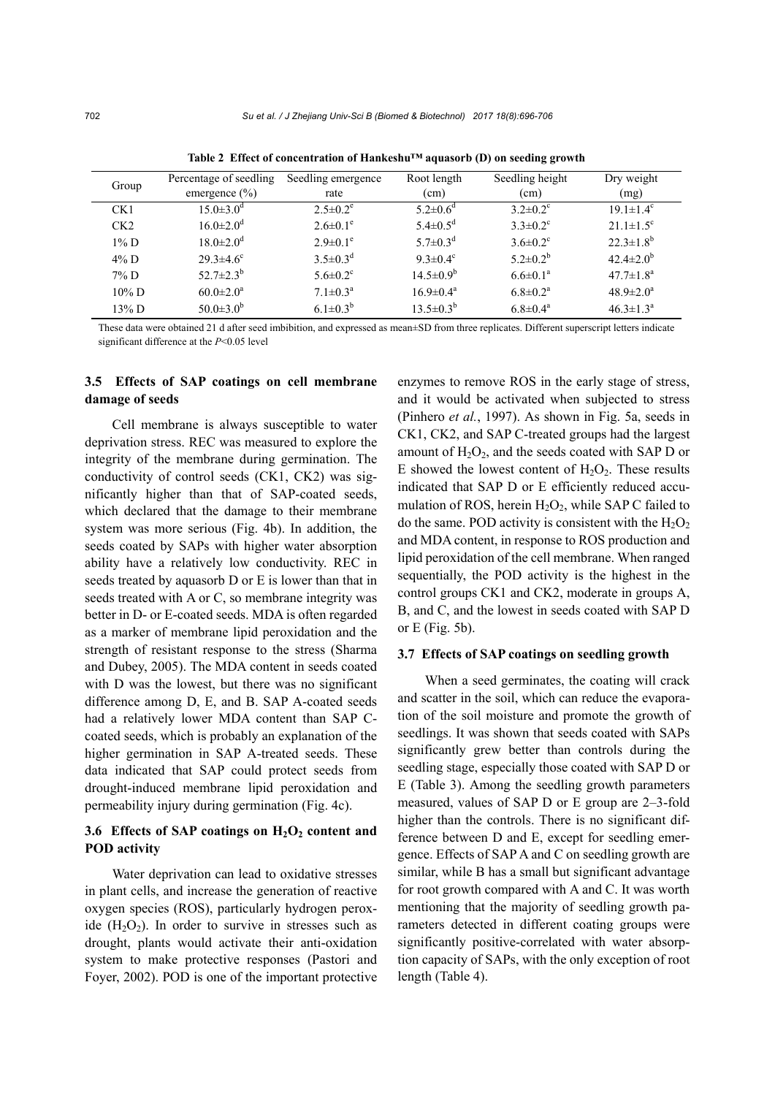| Group           | Percentage of seedling<br>emergence $(\% )$ | Seedling emergence<br>rate | Root length<br>(cm)    | Seedling height<br>(cm)    | Dry weight<br>(mg)          |
|-----------------|---------------------------------------------|----------------------------|------------------------|----------------------------|-----------------------------|
| CK1             | $15.0 \pm 3.0$ <sup>d</sup>                 | $2.5 \pm 0.2^e$            | $5.2 \pm 0.6^d$        | $3.2 \pm 0.2$ <sup>c</sup> | $19.1 \pm 1.4$ <sup>c</sup> |
| CK <sub>2</sub> | $16.0 \pm 2.0$ <sup>d</sup>                 | $2.6 \pm 0.1^e$            | $5.4 \pm 0.5^{\rm d}$  | $3.3 \pm 0.2$ <sup>c</sup> | $21.1 \pm 1.5$ <sup>c</sup> |
| $1\%$ D         | $18.0 \pm 2.0$ <sup>d</sup>                 | $2.9 \pm 0.1$ <sup>e</sup> | $5.7 \pm 0.3^d$        | $3.6 \pm 0.2$ <sup>c</sup> | $22.3 \pm 1.8^{b}$          |
| $4\%$ D         | $29.3 \pm 4.6$ °                            | $3.5 \pm 0.3^d$            | 9.3 $\pm 0.4^{\circ}$  | $5.2 \pm 0.2^b$            | $42.4 \pm 2.0^b$            |
| $7\%$ D         | 52.7 $\pm$ 2.3 <sup>b</sup>                 | $5.6 \pm 0.2$ <sup>c</sup> | $14.5 \pm 0.9^b$       | $6.6 \pm 0.1^a$            | $47.7 \pm 1.8^{\text{a}}$   |
| $10\%$ D        | $60.0 \pm 2.0^a$                            | $7.1 \pm 0.3^{\text{a}}$   | $16.9 \pm 0.4^{\circ}$ | $6.8 \pm 0.2^a$            | 48.9 $\pm 2.0^a$            |
| 13% D           | 50.0 $\pm$ 3.0 <sup>b</sup>                 | $6.1 \pm 0.3^{b}$          | $13.5 \pm 0.3^b$       | $6.8 \pm 0.4^{\circ}$      | $46.3 \pm 1.3^a$            |

**Table 2 Effect of concentration of Hankeshu™ aquasorb (D) on seeding growth** 

These data were obtained 21 d after seed imbibition, and expressed as mean±SD from three replicates. Different superscript letters indicate significant difference at the *P*<0.05 level

## **3.5 Effects of SAP coatings on cell membrane damage of seeds**

Cell membrane is always susceptible to water deprivation stress. REC was measured to explore the integrity of the membrane during germination. The conductivity of control seeds (CK1, CK2) was significantly higher than that of SAP-coated seeds, which declared that the damage to their membrane system was more serious (Fig. 4b). In addition, the seeds coated by SAPs with higher water absorption ability have a relatively low conductivity. REC in seeds treated by aquasorb D or E is lower than that in seeds treated with A or C, so membrane integrity was better in D- or E-coated seeds. MDA is often regarded as a marker of membrane lipid peroxidation and the strength of resistant response to the stress (Sharma and Dubey, 2005). The MDA content in seeds coated with D was the lowest, but there was no significant difference among D, E, and B. SAP A-coated seeds had a relatively lower MDA content than SAP Ccoated seeds, which is probably an explanation of the higher germination in SAP A-treated seeds. These data indicated that SAP could protect seeds from drought-induced membrane lipid peroxidation and permeability injury during germination (Fig. 4c).

# 3.6 Effects of SAP coatings on H<sub>2</sub>O<sub>2</sub> content and **POD activity**

Water deprivation can lead to oxidative stresses in plant cells, and increase the generation of reactive oxygen species (ROS), particularly hydrogen peroxide  $(H_2O_2)$ . In order to survive in stresses such as drought, plants would activate their anti-oxidation system to make protective responses (Pastori and Foyer, 2002). POD is one of the important protective

enzymes to remove ROS in the early stage of stress, and it would be activated when subjected to stress (Pinhero *et al.*, 1997). As shown in Fig. 5a, seeds in CK1, CK2, and SAP C-treated groups had the largest amount of  $H_2O_2$ , and the seeds coated with SAP D or E showed the lowest content of  $H_2O_2$ . These results indicated that SAP D or E efficiently reduced accumulation of ROS, herein  $H_2O_2$ , while SAP C failed to do the same. POD activity is consistent with the  $H_2O_2$ and MDA content, in response to ROS production and lipid peroxidation of the cell membrane. When ranged sequentially, the POD activity is the highest in the control groups CK1 and CK2, moderate in groups A, B, and C, and the lowest in seeds coated with SAP D or E (Fig. 5b).

# **3.7 Effects of SAP coatings on seedling growth**

When a seed germinates, the coating will crack and scatter in the soil, which can reduce the evaporation of the soil moisture and promote the growth of seedlings. It was shown that seeds coated with SAPs significantly grew better than controls during the seedling stage, especially those coated with SAP D or E (Table 3). Among the seedling growth parameters measured, values of SAP D or E group are 2–3-fold higher than the controls. There is no significant difference between D and E, except for seedling emergence. Effects of SAP A and C on seedling growth are similar, while B has a small but significant advantage for root growth compared with A and C. It was worth mentioning that the majority of seedling growth parameters detected in different coating groups were significantly positive-correlated with water absorption capacity of SAPs, with the only exception of root length (Table 4).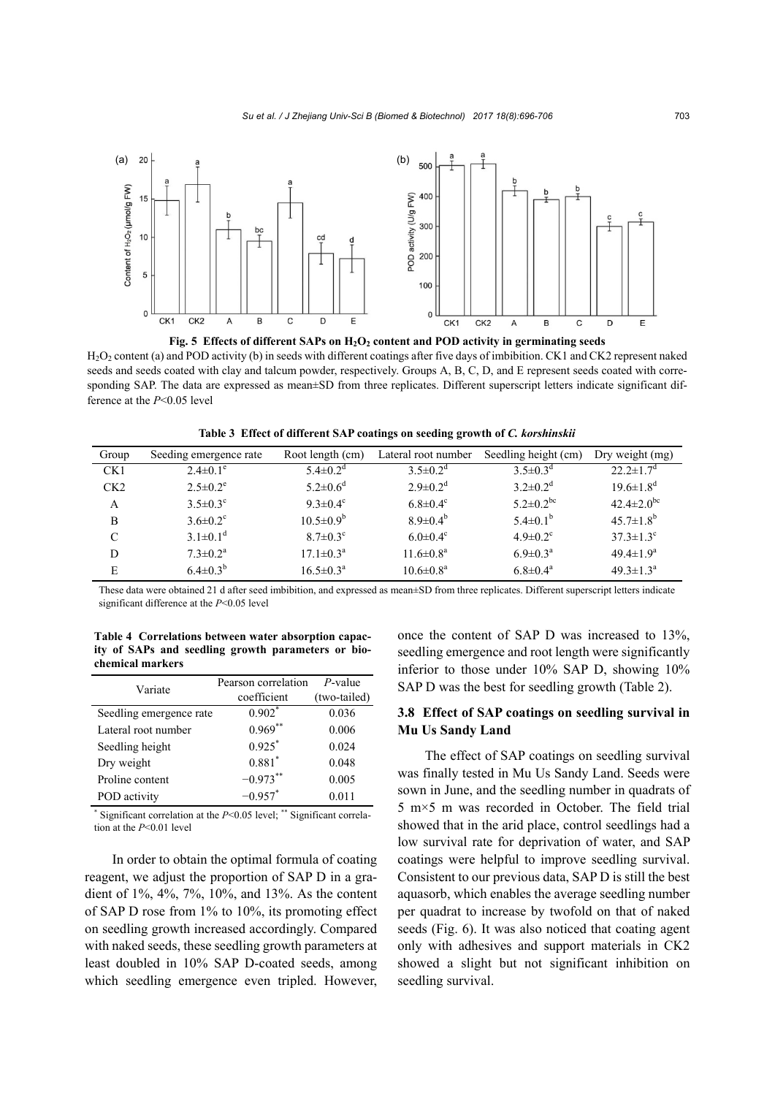

Fig. 5 Effects of different SAPs on H<sub>2</sub>O<sub>2</sub> content and POD activity in germinating seeds

H2O2 content (a) and POD activity (b) in seeds with different coatings after five days of imbibition. CK1 and CK2 represent naked seeds and seeds coated with clay and talcum powder, respectively. Groups A, B, C, D, and E represent seeds coated with corresponding SAP. The data are expressed as mean±SD from three replicates. Different superscript letters indicate significant difference at the *P*<0.05 level

Table 3 Effect of different SAP coatings on seeding growth of *C. korshinskii* 

| Group | Seeding emergence rate     | Root length (cm)           | Lateral root number        | Seedling height (cm)       | Dry weight (mg)             |
|-------|----------------------------|----------------------------|----------------------------|----------------------------|-----------------------------|
| CK1   | $2.4 \pm 0.1^e$            | $5.4 \pm 0.2$ <sup>d</sup> | $3.5 \pm 0.2$ <sup>d</sup> | $3.5 \pm 0.3^d$            | $22.2 \pm 1.7$ <sup>d</sup> |
| CK2   | $2.5 \pm 0.2^e$            | $5.2 \pm 0.6^d$            | $2.9 \pm 0.2$ <sup>d</sup> | $3.2 \pm 0.2^d$            | $19.6 \pm 1.8$ <sup>d</sup> |
| A     | $3.5 \pm 0.3$ <sup>c</sup> | 9.3 $\pm$ 0.4°             | $6.8 \pm 0.4$ <sup>c</sup> | $5.2 \pm 0.2^{bc}$         | $42.4 \pm 2.0^{\rm bc}$     |
| B     | $3.6 \pm 0.2$ <sup>c</sup> | $10.5 \pm 0.9^b$           | $8.9 \pm 0.4^b$            | $5.4 \pm 0.1^b$            | $45.7 \pm 1.8$ <sup>b</sup> |
| C     | $3.1 \pm 0.1$ <sup>d</sup> | $8.7 \pm 0.3$ <sup>c</sup> | $6.0 \pm 0.4$ <sup>c</sup> | $4.9 \pm 0.2$ <sup>c</sup> | $37.3 \pm 1.3^c$            |
| D     | $7.3 \pm 0.2^a$            | $17.1 \pm 0.3^{\text{a}}$  | $11.6 \pm 0.8^a$           | $6.9 \pm 0.3^{\text{a}}$   | $49.4 \pm 1.9^a$            |
| E     | $6.4 \pm 0.3^b$            | $16.5 \pm 0.3^{\text{a}}$  | $10.6 \pm 0.8^a$           | $6.8 \pm 0.4^{\text{a}}$   | $49.3 \pm 1.3^a$            |

These data were obtained 21 d after seed imbibition, and expressed as mean±SD from three replicates. Different superscript letters indicate significant difference at the *P*<0.05 level

**Table 4 Correlations between water absorption capacity of SAPs and seedling growth parameters or biochemical markers**

| Variate                 | Pearson correlation   | $P$ -value   |  |
|-------------------------|-----------------------|--------------|--|
|                         | coefficient           | (two-tailed) |  |
| Seedling emergence rate | $0.902*$              | 0.036        |  |
| Lateral root number     | $0.969**$             | 0.006        |  |
| Seedling height         | $0.925$ <sup>*</sup>  | 0.024        |  |
| Dry weight              | $0.881*$              | 0.048        |  |
| Proline content         | $-0.973**$            | 0.005        |  |
| POD activity            | $-0.957$ <sup>*</sup> | 0.011        |  |

\* Significant correlation at the *P*<0.05 level; \*\* Significant correlation at the *P*<0.01 level

In order to obtain the optimal formula of coating reagent, we adjust the proportion of SAP D in a gradient of 1%, 4%, 7%, 10%, and 13%. As the content of SAP D rose from 1% to 10%, its promoting effect on seedling growth increased accordingly. Compared with naked seeds, these seedling growth parameters at least doubled in 10% SAP D-coated seeds, among which seedling emergence even tripled. However, once the content of SAP D was increased to 13%, seedling emergence and root length were significantly inferior to those under 10% SAP D, showing 10% SAP D was the best for seedling growth (Table 2).

# **3.8 Effect of SAP coatings on seedling survival in Mu Us Sandy Land**

The effect of SAP coatings on seedling survival was finally tested in Mu Us Sandy Land. Seeds were sown in June, and the seedling number in quadrats of 5 m×5 m was recorded in October. The field trial showed that in the arid place, control seedlings had a low survival rate for deprivation of water, and SAP coatings were helpful to improve seedling survival. Consistent to our previous data, SAP D is still the best aquasorb, which enables the average seedling number per quadrat to increase by twofold on that of naked seeds (Fig. 6). It was also noticed that coating agent only with adhesives and support materials in CK2 showed a slight but not significant inhibition on seedling survival.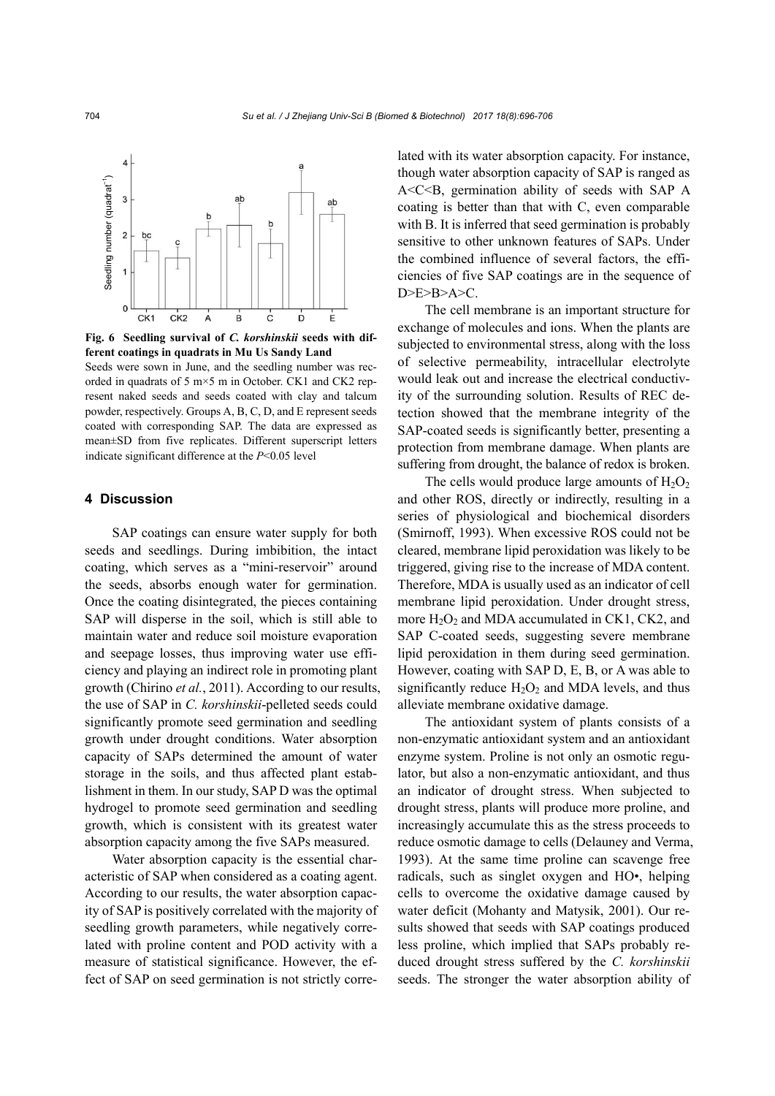

**Fig. 6 Seedling survival of** *C. korshinskii* **seeds with different coatings in quadrats in Mu Us Sandy Land** 

Seeds were sown in June, and the seedling number was recorded in quadrats of 5 m×5 m in October. CK1 and CK2 represent naked seeds and seeds coated with clay and talcum powder, respectively. Groups A, B, C, D, and E represent seeds coated with corresponding SAP. The data are expressed as mean±SD from five replicates. Different superscript letters

#### **4 Discussion**

SAP coatings can ensure water supply for both seeds and seedlings. During imbibition, the intact coating, which serves as a "mini-reservoir" around the seeds, absorbs enough water for germination. Once the coating disintegrated, the pieces containing SAP will disperse in the soil, which is still able to maintain water and reduce soil moisture evaporation and seepage losses, thus improving water use efficiency and playing an indirect role in promoting plant growth (Chirino *et al.*, 2011). According to our results, the use of SAP in *C. korshinskii*-pelleted seeds could significantly promote seed germination and seedling growth under drought conditions. Water absorption capacity of SAPs determined the amount of water storage in the soils, and thus affected plant establishment in them. In our study, SAP D was the optimal hydrogel to promote seed germination and seedling growth, which is consistent with its greatest water absorption capacity among the five SAPs measured.

Water absorption capacity is the essential characteristic of SAP when considered as a coating agent. According to our results, the water absorption capacity of SAP is positively correlated with the majority of seedling growth parameters, while negatively correlated with proline content and POD activity with a measure of statistical significance. However, the effect of SAP on seed germination is not strictly correlated with its water absorption capacity. For instance, though water absorption capacity of SAP is ranged as A<C<B, germination ability of seeds with SAP A coating is better than that with C, even comparable with B. It is inferred that seed germination is probably sensitive to other unknown features of SAPs. Under the combined influence of several factors, the efficiencies of five SAP coatings are in the sequence of D>E>B>A>C.

The cell membrane is an important structure for exchange of molecules and ions. When the plants are subjected to environmental stress, along with the loss of selective permeability, intracellular electrolyte would leak out and increase the electrical conductivity of the surrounding solution. Results of REC detection showed that the membrane integrity of the SAP-coated seeds is significantly better, presenting a protection from membrane damage. When plants are suffering from drought, the balance of redox is broken.

The cells would produce large amounts of  $H_2O_2$ and other ROS, directly or indirectly, resulting in a series of physiological and biochemical disorders (Smirnoff, 1993). When excessive ROS could not be cleared, membrane lipid peroxidation was likely to be triggered, giving rise to the increase of MDA content. Therefore, MDA is usually used as an indicator of cell membrane lipid peroxidation. Under drought stress, more  $H_2O_2$  and MDA accumulated in CK1, CK2, and SAP C-coated seeds, suggesting severe membrane lipid peroxidation in them during seed germination. However, coating with SAP D, E, B, or A was able to significantly reduce  $H_2O_2$  and MDA levels, and thus alleviate membrane oxidative damage.

The antioxidant system of plants consists of a non-enzymatic antioxidant system and an antioxidant enzyme system. Proline is not only an osmotic regulator, but also a non-enzymatic antioxidant, and thus an indicator of drought stress. When subjected to drought stress, plants will produce more proline, and increasingly accumulate this as the stress proceeds to reduce osmotic damage to cells (Delauney and Verma, 1993). At the same time proline can scavenge free radicals, such as singlet oxygen and HO•, helping cells to overcome the oxidative damage caused by water deficit (Mohanty and Matysik, 2001). Our results showed that seeds with SAP coatings produced less proline, which implied that SAPs probably reduced drought stress suffered by the *C. korshinskii* seeds. The stronger the water absorption ability of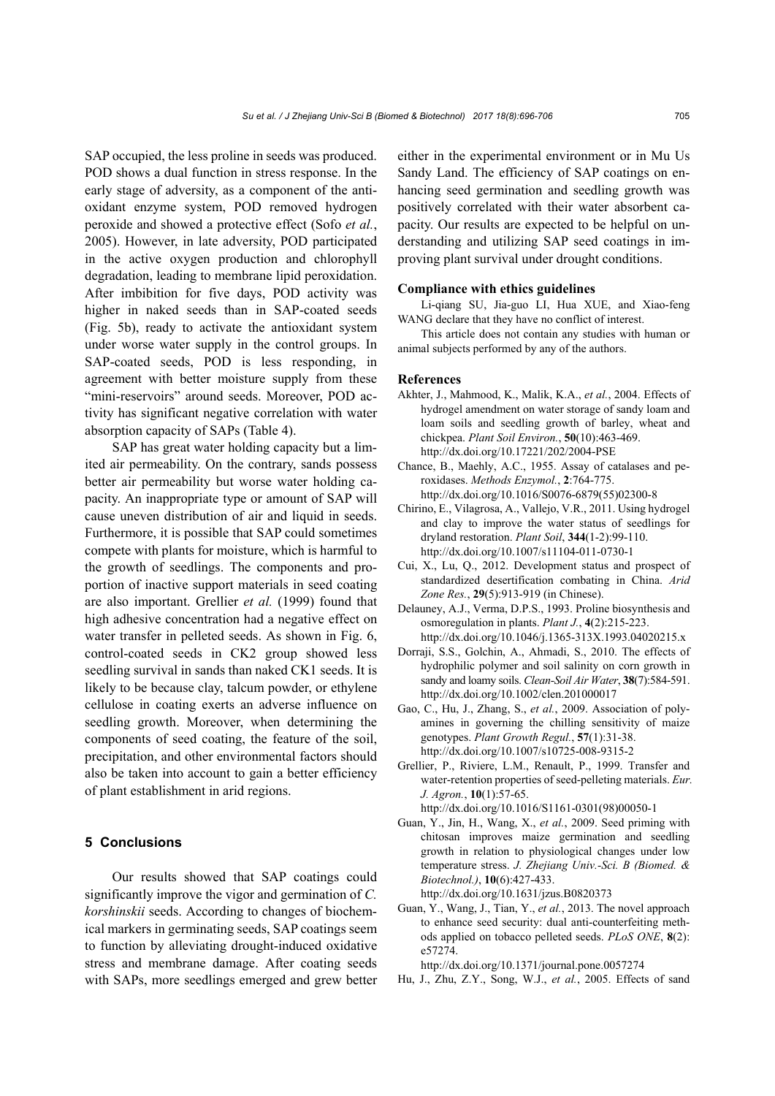SAP occupied, the less proline in seeds was produced. POD shows a dual function in stress response. In the early stage of adversity, as a component of the antioxidant enzyme system, POD removed hydrogen peroxide and showed a protective effect (Sofo *et al.*, 2005). However, in late adversity, POD participated in the active oxygen production and chlorophyll degradation, leading to membrane lipid peroxidation. After imbibition for five days, POD activity was higher in naked seeds than in SAP-coated seeds (Fig. 5b), ready to activate the antioxidant system under worse water supply in the control groups. In SAP-coated seeds, POD is less responding, in agreement with better moisture supply from these "mini-reservoirs" around seeds. Moreover, POD activity has significant negative correlation with water absorption capacity of SAPs (Table 4).

SAP has great water holding capacity but a limited air permeability. On the contrary, sands possess better air permeability but worse water holding capacity. An inappropriate type or amount of SAP will cause uneven distribution of air and liquid in seeds. Furthermore, it is possible that SAP could sometimes compete with plants for moisture, which is harmful to the growth of seedlings. The components and proportion of inactive support materials in seed coating are also important. Grellier *et al.* (1999) found that high adhesive concentration had a negative effect on water transfer in pelleted seeds. As shown in Fig. 6, control-coated seeds in CK2 group showed less seedling survival in sands than naked CK1 seeds. It is likely to be because clay, talcum powder, or ethylene cellulose in coating exerts an adverse influence on seedling growth. Moreover, when determining the components of seed coating, the feature of the soil, precipitation, and other environmental factors should also be taken into account to gain a better efficiency of plant establishment in arid regions.

#### **5 Conclusions**

Our results showed that SAP coatings could significantly improve the vigor and germination of *C. korshinskii* seeds. According to changes of biochemical markers in germinating seeds, SAP coatings seem to function by alleviating drought-induced oxidative stress and membrane damage. After coating seeds with SAPs, more seedlings emerged and grew better either in the experimental environment or in Mu Us Sandy Land. The efficiency of SAP coatings on enhancing seed germination and seedling growth was positively correlated with their water absorbent capacity. Our results are expected to be helpful on understanding and utilizing SAP seed coatings in improving plant survival under drought conditions.

#### **Compliance with ethics guidelines**

Li-qiang SU, Jia-guo LI, Hua XUE, and Xiao-feng WANG declare that they have no conflict of interest.

This article does not contain any studies with human or animal subjects performed by any of the authors.

#### **References**

- Akhter, J., Mahmood, K., Malik, K.A., *et al.*, 2004. Effects of hydrogel amendment on water storage of sandy loam and loam soils and seedling growth of barley, wheat and chickpea. *Plant Soil Environ.*, **50**(10):463-469. http://dx.doi.org/10.17221/202/2004-PSE
- Chance, B., Maehly, A.C., 1955. Assay of catalases and peroxidases. *Methods Enzymol.*, **2**:764-775. http://dx.doi.org/10.1016/S0076-6879(55)02300-8
- Chirino, E., Vilagrosa, A., Vallejo, V.R., 2011. Using hydrogel and clay to improve the water status of seedlings for dryland restoration. *Plant Soil*, **344**(1-2):99-110. http://dx.doi.org/10.1007/s11104-011-0730-1
- Cui, X., Lu, Q., 2012. Development status and prospect of standardized desertification combating in China. *Arid Zone Res.*, **29**(5):913-919 (in Chinese).
- Delauney, A.J., Verma, D.P.S., 1993. Proline biosynthesis and osmoregulation in plants. *Plant J.*, **4**(2):215-223. http://dx.doi.org/10.1046/j.1365-313X.1993.04020215.x
- Dorraji, S.S., Golchin, A., Ahmadi, S., 2010. The effects of hydrophilic polymer and soil salinity on corn growth in sandy and loamy soils. *Clean-Soil Air Water*, **38**(7):584-591. http://dx.doi.org/10.1002/clen.201000017
- Gao, C., Hu, J., Zhang, S., *et al.*, 2009. Association of polyamines in governing the chilling sensitivity of maize genotypes. *Plant Growth Regul.*, **57**(1):31-38. http://dx.doi.org/10.1007/s10725-008-9315-2
- Grellier, P., Riviere, L.M., Renault, P., 1999. Transfer and water-retention properties of seed-pelleting materials. *Eur. J. Agron.*, **10**(1):57-65.
- http://dx.doi.org/10.1016/S1161-0301(98)00050-1 Guan, Y., Jin, H., Wang, X., *et al.*, 2009. Seed priming with
- chitosan improves maize germination and seedling growth in relation to physiological changes under low temperature stress. *J. Zhejiang Univ.-Sci. B (Biomed. & Biotechnol.)*, **10**(6):427-433. http://dx.doi.org/10.1631/jzus.B0820373
- Guan, Y., Wang, J., Tian, Y., *et al.*, 2013. The novel approach to enhance seed security: dual anti-counterfeiting methods applied on tobacco pelleted seeds. *PLoS ONE*, **8**(2): e57274.

http://dx.doi.org/10.1371/journal.pone.0057274

Hu, J., Zhu, Z.Y., Song, W.J., *et al.*, 2005. Effects of sand